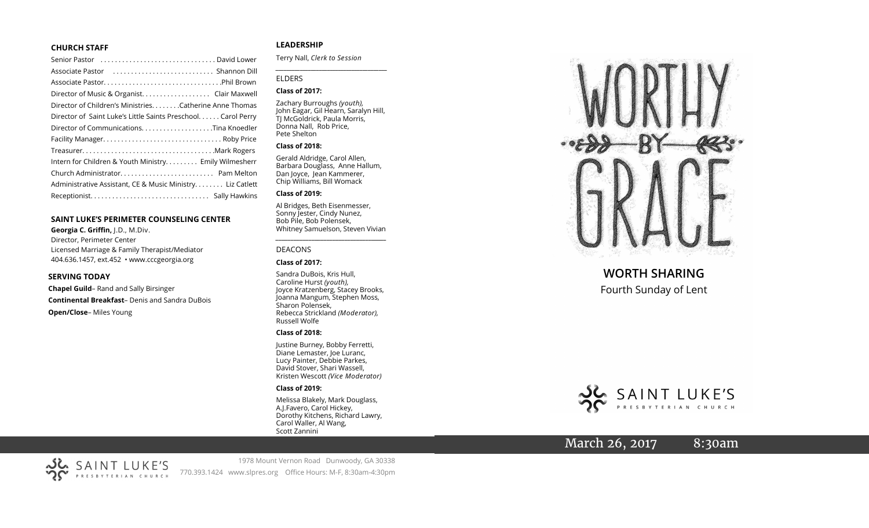#### **CHURCH STAFF**

| Senior Pastor (all contains and contained a senior Pastor contains) |
|---------------------------------------------------------------------|
|                                                                     |
|                                                                     |
|                                                                     |
| Director of Children's MinistriesCatherine Anne Thomas              |
| Director of Saint Luke's Little Saints Preschool. Carol Perry       |
|                                                                     |
|                                                                     |
|                                                                     |
| Intern for Children & Youth Ministry Emily Wilmesherr               |
|                                                                     |
| Administrative Assistant, CE & Music Ministry Liz Catlett           |
|                                                                     |
|                                                                     |

#### **SAINT LUKE 'S PERIMETER COUNSELING CENTER**

**Georgia C. Griffin,** J.D., M.Div. Director, Perimeter Center Licensed Marriage & Family Therapist/Mediator 404.636.1457, ext.452 • www.cccgeorgia.org

#### **SERVING TODAY**

**Chapel Guild** – Rand and Sally Birsinger **Continental Breakfast** – Denis and Sandra DuBois **Open/Close** – Miles Young

#### **LEADERSHIP**

Terry Nall, *Clerk to Session*

#### ELDERS

#### **Class of 2017:**

Zachary Burroughs *(youth),*  John Eagar, Gil Hearn, Saralyn Hill, TJ McGoldrick, Paula Morris, Donna Nall, Rob Price, Pete Shelton

*\_\_\_\_\_\_\_\_\_\_\_\_\_\_\_\_\_\_\_\_\_\_\_\_\_\_\_\_\_\_\_\_\_\_\_\_\_\_\_\_\_*

#### **Class of 2018:**

Gerald Aldridge, Carol Allen, Barbara Douglass, Anne Hallum, Dan Joyce, Jean Kammerer, Chip Williams, Bill Womack

#### **Class of 2019:**

Al Bridges, Beth Eisenmesser, Sonny Jester, Cindy Nunez, Bob Pile, Bob Polensek, Whitney Samuelson, Steven Vivian

*\_\_\_\_\_\_\_\_\_\_\_\_\_\_\_\_\_\_\_\_\_\_\_\_\_\_\_\_\_\_\_\_\_\_\_\_\_*

#### DEACONS

#### **Class of 2017:**

Sandra DuBois, Kris Hull, Caroline Hurst *(youth),* Joyce Kratzenberg, Stacey Brooks, Joanna Mangum, Stephen Moss, Sharon Polensek, Rebecca Strickland *(Moderator),*  Russell Wolfe

#### **Class of 2018:**

Justine Burney, Bobby Ferretti, Diane Lemaster, Joe Luranc, Lucy Painter, Debbie Parkes, David Stover, Shari Wassell, Kristen Wescott *(Vice Moderator)*

#### **Class of 2019:**

Melissa Blakely, Mark Douglass, A.J.Favero, Carol Hickey, Dorothy Kitchens, Richard Lawry, Carol Waller, Al Wang, Scott Zannini



# **WORTH SHARING**

Fourth Sunday of Lent



# March 26, 2017 8:30am



1978 Mount Vernon Road Dunwoody, GA 30338 770.393.1424 www.slpres.org Office Hours: M -F, 8:30am -4:30pm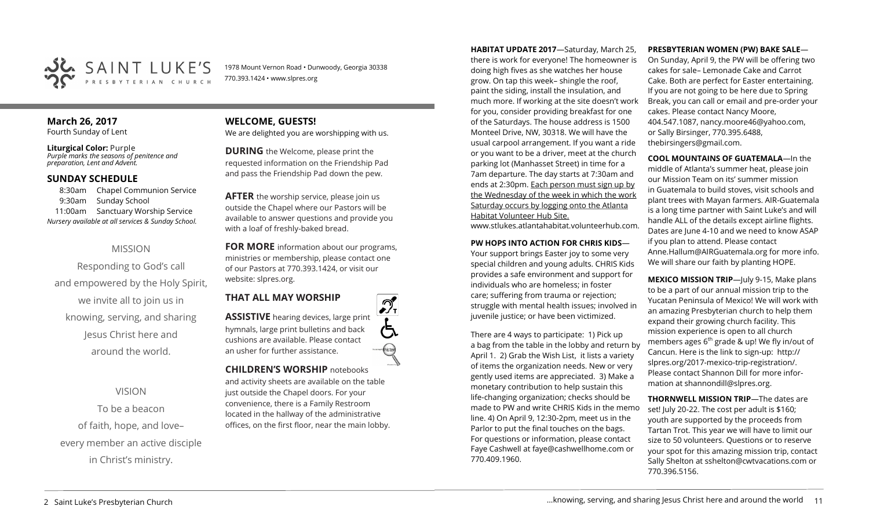

1978 Mount Vernon Road • Dunwoody, Georgia 30338 770.393.1424 • www.slpres.org

### **March 26, 2017**  Fourth Sunday of Lent

**Liturgical Color:** Purple *Purple marks the seasons of penitence and preparation, Lent and Advent.*

## **SUNDAY SCHEDULE**

8:30am Chapel Communion Service 9:30am Sunday School 11:00am Sanctuary Worship Service *Nursery available at all services & Sunday School.* 

# MISSION

Responding to God's call and empowered by the Holy Spirit, we invite all to join us in knowing, serving, and sharing Jesus Christ here and around the world.

VISION

To be a beacon of faith, hope, and love– every member an active disciple in Christ's ministry.

## **WELCOME, GUESTS!**  We are delighted you are worshipping with us.

**DURING** the Welcome, please print the requested information on the Friendship Pad and pass the Friendship Pad down the pew.

**AFTER** the worship service, please join us outside the Chapel where our Pastors will be available to answer questions and provide you with a loaf of freshly-baked bread.

**FOR MORE** information about our programs, ministries or membership, please contact one of our Pastors at 770.393.1424, or visit our website: slpres.org.

**THAT ALL MAY WORSHIP ASSISTIVE** hearing devices, large print hymnals, large print bulletins and back



 $\mathcal{D}_{\mathrm{r}}$ 

# **CHILDREN'S WORSHIP** notebooks

and activity sheets are available on the table just outside the Chapel doors. For your convenience, there is a Family Restroom located in the hallway of the administrative offices, on the first floor, near the main lobby.

**HABITAT UPDATE 2017**—Saturday, March 25, there is work for everyone! The homeowner is doing high fives as she watches her house grow. On tap this week– shingle the roof, paint the siding, install the insulation, and much more. If working at the site doesn't work for you, consider providing breakfast for one of the Saturdays. The house address is 1500 Monteel Drive, NW, 30318. We will have the usual carpool arrangement. If you want a ride or you want to be a driver, meet at the church parking lot (Manhasset Street) in time for a 7am departure. The day starts at 7:30am and ends at 2:30pm. Each person must sign up by the Wednesday of the week in which the work Saturday occurs by logging onto the Atlanta Habitat Volunteer Hub Site.

www.stlukes.atlantahabitat.volunteerhub.com.

### **PW HOPS INTO ACTION FOR CHRIS KIDS**—

Your support brings Easter joy to some very special children and young adults. CHRIS Kids provides a safe environment and support for individuals who are homeless; in foster care; suffering from trauma or rejection; struggle with mental health issues; involved in juvenile justice; or have been victimized.

There are 4 ways to participate: 1) Pick up a bag from the table in the lobby and return by April 1. 2) Grab the Wish List, it lists a variety of items the organization needs. New or very gently used items are appreciated. 3) Make a monetary contribution to help sustain this life-changing organization; checks should be made to PW and write CHRIS Kids in the memo line. 4) On April 9, 12:30-2pm, meet us in the Parlor to put the final touches on the bags. For questions or information, please contact Faye Cashwell at [faye@cashwellhome.com](mailto:faye@cashwellhome.com) or 770.409.1960.

#### **PRESBYTERIAN WOMEN (PW) BAKE SALE**—

On Sunday, April 9, the PW will be offering two cakes for sale– Lemonade Cake and Carrot Cake. Both are perfect for Easter entertaining. If you are not going to be here due to Spring Break, you can call or email and pre-order your cakes. Please contact Nancy Moore, 404.547.1087, nancy.moore46@yahoo.com, or Sally Birsinger, 770.395.6488, thebirsingers@gmail.com.

**COOL MOUNTAINS OF GUATEMALA**—In the

middle of Atlanta's summer heat, please join our Mission Team on its' summer mission in Guatemala to build stoves, visit schools and plant trees with Mayan farmers. AIR-Guatemala is a long time partner with Saint Luke's and will handle ALL of the details except airline flights. Dates are June 4-10 and we need to know ASAP if you plan to attend. Please contact Anne.Hallum@AIRGuatemala.org for more info. We will share our faith by planting HOPE.

**MEXICO MISSION TRIP**—July 9-15, Make plans to be a part of our annual mission trip to the Yucatan Peninsula of Mexico! We will work with an amazing Presbyterian church to help them expand their growing church facility. This mission experience is open to all church members ages  $6<sup>th</sup>$  grade & up! We fly in/out of Cancun. Here is the link to sign-up: [http://](http://slpres.org/2017-mexico-trip-registration/) [slpres.org/2017](http://slpres.org/2017-mexico-trip-registration/)-mexico-trip-registration/. Please contact Shannon Dill for more information at shannondill@slpres.org.

**THORNWELL MISSION TRIP**—The dates are set! July 20-22. The cost per adult is \$160; youth are supported by the proceeds from Tartan Trot. This year we will have to limit our size to 50 volunteers. Questions or to reserve your spot for this amazing mission trip, contact Sally Shelton at sshelton@cwtvacations.com or 770.396.5156.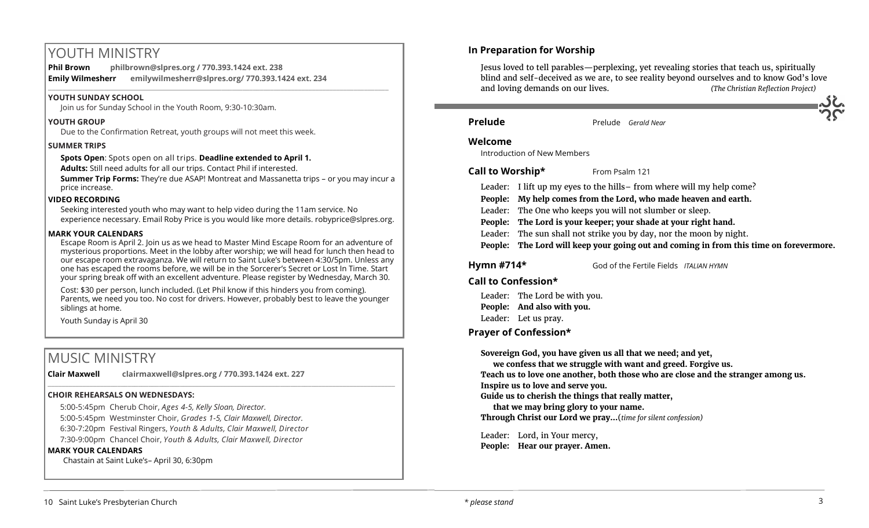# YOUTH MINISTRY

**Phil Brown philbrown@slpres.org / 770.393.1424 ext. 238 Emily Wilmesherr emilywilmesherr@slpres.org/ 770.393.1424 ext. 234**   $\_$  ,  $\_$  ,  $\_$  ,  $\_$  ,  $\_$  ,  $\_$  ,  $\_$  ,  $\_$  ,  $\_$  ,  $\_$  ,  $\_$  ,  $\_$  ,  $\_$  ,  $\_$  ,  $\_$  ,  $\_$  ,  $\_$  ,  $\_$  ,  $\_$  ,  $\_$ 

#### **YOUTH SUNDAY SCHOOL**

Join us for Sunday School in the Youth Room, 9:30-10:30am.

#### **YOUTH GROUP**

Due to the Confirmation Retreat, youth groups will not meet this week.

#### **SUMMER TRIPS**

**Spots Open**: Spots open on all trips. **Deadline extended to April 1.**

**Adults:** Still need adults for all our trips. Contact Phil if interested.

**Summer Trip Forms:** They're due ASAP! Montreat and Massanetta trips – or you may incur a price increase.

#### **VIDEO RECORDING**

Seeking interested youth who may want to help video during the 11am service. No experience necessary. Email Roby Price is you would like more details. robyprice@slpres.org.

#### **MARK YOUR CALENDARS**

Escape Room is April 2. Join us as we head to Master Mind Escape Room for an adventure of mysterious proportions. Meet in the lobby after worship; we will head for lunch then head to our escape room extravaganza. We will return to Saint Luke's between 4:30/5pm. Unless any one has escaped the rooms before, we will be in the Sorcerer's Secret or Lost In Time. Start your spring break off with an excellent adventure. Please register by Wednesday, March 30.

Cost: \$30 per person, lunch included. (Let Phil know if this hinders you from coming). Parents, we need you too. No cost for drivers. However, probably best to leave the younger siblings at home.

\_\_\_\_\_\_\_\_\_\_\_\_\_\_\_\_\_\_\_\_\_\_\_\_\_\_\_\_\_\_\_\_\_\_\_\_\_\_\_\_\_\_\_\_\_\_\_\_\_\_\_\_\_\_\_\_\_\_\_\_\_\_\_\_\_\_\_\_\_\_\_\_\_\_\_\_\_\_\_\_\_\_\_\_\_\_\_\_\_\_\_\_\_\_\_\_\_\_\_\_

Youth Sunday is April 30

# MUSIC MINISTRY

**Clair Maxwell clairmaxwell@slpres.org / 770.393.1424 ext. 227** 

### **CHOIR REHEARSALS ON WEDNESDAYS:**

5:00-5:45pm Cherub Choir, *Ages 4-5, Kelly Sloan, Director.*  5:00-5:45pm Westminster Choir, *Grades 1-5, Clair Maxwell, Director.*  6:30-7:20pm Festival Ringers, *Youth & Adults, Clair Maxwell, Director* 7:30-9:00pm Chancel Choir, *Youth & Adults, Clair Maxwell, Director* 

#### **MARK YOUR CALENDARS**

Chastain at Saint Luke's– April 30, 6:30pm

## **In Preparation for Worship**

Jesus loved to tell parables—perplexing, yet revealing stories that teach us, spiritually blind and self-deceived as we are, to see reality beyond ourselves and to know God's love and loving demands on our lives. *(The Christian Reflection Project)*

**Prelude** Prelude *Gerald Near* 

#### **Welcome**

Introduction of New Members

**Call to Worship\*** From Psalm 121

- Leader: I lift up my eyes to the hills–from where will my help come?
- **People: My help comes from the Lord, who made heaven and earth.**
- Leader: The One who keeps you will not slumber or sleep.
- **People: The Lord is your keeper; your shade at your right hand.**
- Leader: The sun shall not strike you by day, nor the moon by night.
- **People: The Lord will keep your going out and coming in from this time on forevermore.**
- **Hymn #714\*** God of the Fertile Fields *ITALIAN HYMN*

## **Call to Confession\***

Leader: The Lord be with you. **People: And also with you.** Leader: Let us pray.

# **Prayer of Confession\***

**Sovereign God, you have given us all that we need; and yet,** 

**we confess that we struggle with want and greed. Forgive us.** 

**Teach us to love one another, both those who are close and the stranger among us.** 

**Inspire us to love and serve you.** 

**Guide us to cherish the things that really matter,** 

**that we may bring glory to your name.** 

**Through Christ our Lord we pray…**(*time for silent confession)*

Leader: Lord, in Your mercy, **People: Hear our prayer. Amen.**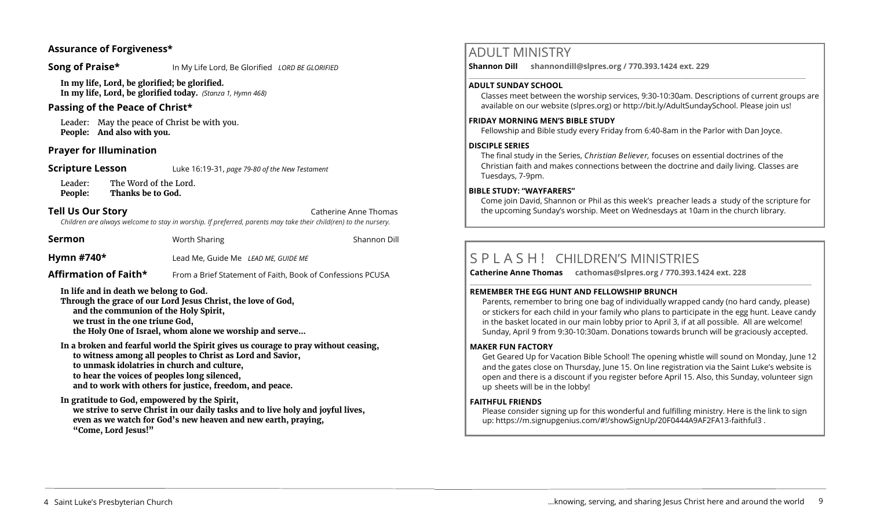## **Assurance of Forgiveness\***

**Song of Praise\*** In My Life Lord, Be Glorified *LORD BE GLORIFIED* 

**In my life, Lord, be glorified; be glorified. In my life, Lord, be glorified today.** *(Stanza 1, Hymn 468)*

## **Passing of the Peace of Christ\***

Leader: May the peace of Christ be with you. **People: And also with you.** 

## **Prayer for Illumination**

**Scripture Lesson** Luke 16:19-31, *page 79-80 of the New Testament* 

Leader: The Word of the Lord. **People: Thanks be to God.**

# **Tell Us Our Story Catherine Anne Thomas Catherine Anne Thomas**

*Children are always welcome to stay in worship. If preferred, parents may take their child(ren) to the nursery.*

**Sermon** Worth Sharing Worth Sharing Shannon Dill

**Hymn #740\*** Lead Me, Guide Me *LEAD ME, GUIDE ME*

**Affirmation of Faith\*** From a Brief Statement of Faith, Book of Confessions PCUSA

**In life and in death we belong to God.** 

**Through the grace of our Lord Jesus Christ, the love of God, and the communion of the Holy Spirit, we trust in the one triune God, the Holy One of Israel, whom alone we worship and serve...**

**In a broken and fearful world the Spirit gives us courage to pray without ceasing, to witness among all peoples to Christ as Lord and Savior, to unmask idolatries in church and culture, to hear the voices of peoples long silenced, and to work with others for justice, freedom, and peace.**

**In gratitude to God, empowered by the Spirit, we strive to serve Christ in our daily tasks and to live holy and joyful lives, even as we watch for God's new heaven and new earth, praying, "Come, Lord Jesus!"**

# ADULT MINISTRY

**Shannon Dill shannondill@slpres.org / 770.393.1424 ext. 229**   $\_$  ,  $\_$  ,  $\_$  ,  $\_$  ,  $\_$  ,  $\_$  ,  $\_$  ,  $\_$  ,  $\_$  ,  $\_$  ,  $\_$  ,  $\_$  ,  $\_$  ,  $\_$  ,  $\_$  ,  $\_$  ,  $\_$  ,  $\_$  ,  $\_$  ,  $\_$ 

#### **ADULT SUNDAY SCHOOL**

Classes meet between the worship services, 9:30-10:30am. Descriptions of current groups are available on our website (slpres.org) or http://bit.ly/AdultSundaySchool. Please join us!

## **FRIDAY MORNING MEN'S BIBLE STUDY**

Fellowship and Bible study every Friday from 6:40-8am in the Parlor with Dan Joyce.

### **DISCIPLE SERIES**

The final study in the Series, *Christian Believer,* focuses on essential doctrines of the Christian faith and makes connections between the doctrine and daily living. Classes are Tuesdays, 7-9pm.

## **BIBLE STUDY: "WAYFARERS"**

Come join David, Shannon or Phil as this week's preacher leads a study of the scripture for the upcoming Sunday's worship. Meet on Wednesdays at 10am in the church library.

# S P L A S H <sup>I</sup> CHILDREN'S MINISTRIES

**Catherine Anne Thomas cathomas@slpres.org / 770.393.1424 ext. 228 \_\_\_\_\_\_\_\_\_\_\_\_\_\_\_\_\_\_\_\_\_\_\_\_\_\_\_\_\_\_\_\_\_\_\_\_\_\_\_\_\_\_\_\_\_\_\_\_\_\_\_\_\_\_\_\_\_\_\_\_\_\_\_\_\_\_\_\_\_\_\_\_\_\_\_\_\_\_\_\_\_\_\_\_\_\_\_\_\_\_\_\_\_\_\_\_\_\_\_\_\_\_\_\_\_\_\_** 

### **REMEMBER THE EGG HUNT AND FELLOWSHIP BRUNCH**

Parents, remember to bring one bag of individually wrapped candy (no hard candy, please) or stickers for each child in your family who plans to participate in the egg hunt. Leave candy in the basket located in our main lobby prior to April 3, if at all possible. All are welcome! Sunday, April 9 from 9:30-10:30am. Donations towards brunch will be graciously accepted.

### **MAKER FUN FACTORY**

Get Geared Up for Vacation Bible School! The opening whistle will sound on Monday, June 12 and the gates close on Thursday, June 15. On line registration via the Saint Luke's website is open and there is a discount if you register before April 15. Also, this Sunday, volunteer sign up sheets will be in the lobby!

### **FAITHFUL FRIENDS**

Please consider signing up for this wonderful and fulfilling ministry. Here is the link to sign up: [https://m.signupgenius.com/#!/showSignUp/20F0444A9AF2FA13](https://m.signupgenius.com/#!/showSignUp/20F0444A9AF2FA13-faithful3)-faithful3 .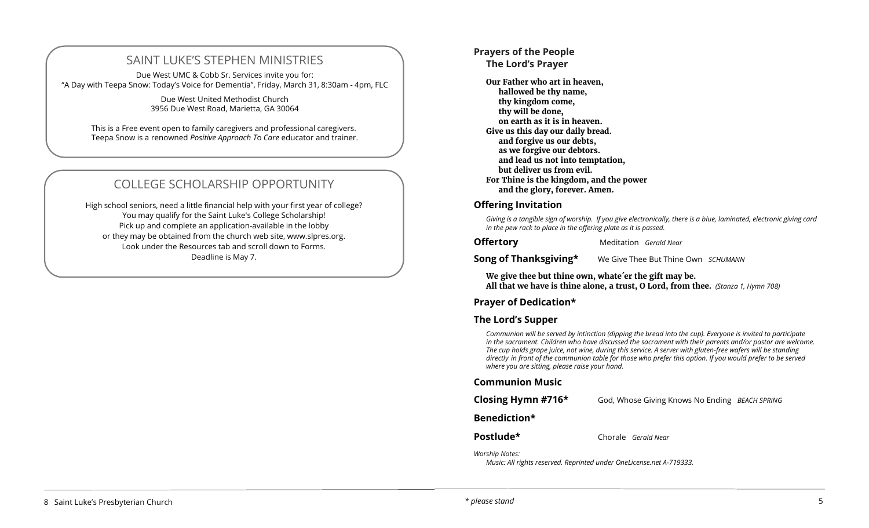# SAINT LUKE'S STEPHEN MINISTRIES

Due West UMC & Cobb Sr. Services invite you for: "A Day with Teepa Snow: Today's Voice for Dementia", Friday, March 31, 8:30am - 4pm, FLC

> Due West United Methodist Church 3956 Due West Road, Marietta, GA 30064

This is a Free event open to family caregivers and professional caregivers. Teepa Snow is a renowned *Positive Approach T*o *Care* educator and trainer.

# COLLEGE SCHOLARSHIP OPPORTUNITY

High school seniors, need a little financial help with your first year of college? You may qualify for the Saint Luke's College Scholarship! Pick up and complete an application-available in the lobby or they may be obtained from the church web site, www.slpres.org. Look under the Resources tab and scroll down to Forms. Deadline is May 7.

# **Prayers of the People**

**The Lord's Prayer** 

**Our Father who art in heaven, hallowed be thy name, thy kingdom come, thy will be done, on earth as it is in heaven. Give us this day our daily bread. and forgive us our debts, as we forgive our debtors. and lead us not into temptation, but deliver us from evil. For Thine is the kingdom, and the power and the glory, forever. Amen.**

### **Offering Invitation**

*Giving is a tangible sign of worship. If you give electronically, there is a blue, laminated, electronic giving card in the pew rack to place in the offering plate as it is passed.* 

**Offertory** Meditation *Gerald Near* 

**Song of Thanksgiving\*** We Give Thee But Thine Own *SCHUMANN* 

**We give thee but thine own, whate´er the gift may be. All that we have is thine alone, a trust, O Lord, from thee.** *(Stanza 1, Hymn 708)* 

# **Prayer of Dedication\***

# **The Lord's Supper**

*Communion will be served by intinction (dipping the bread into the cup). Everyone is invited to participate in the sacrament. Children who have discussed the sacrament with their parents and/or pastor are welcome. The cup holds grape juice, not wine, during this service. A server with gluten-free wafers will be standing directly in front of the communion table for those who prefer this option. If you would prefer to be served where you are sitting, please raise your hand.* 

## **Communion Music**

| Closing Hymn #716* | God, Whose Giving Knows No Ending BEACH SPRING |  |
|--------------------|------------------------------------------------|--|
|--------------------|------------------------------------------------|--|

# **Benediction\***

**Postlude\*** Chorale *Gerald Near*

*Worship Notes:* 

*Music: All rights reserved. Reprinted under OneLicense.net A-719333.*